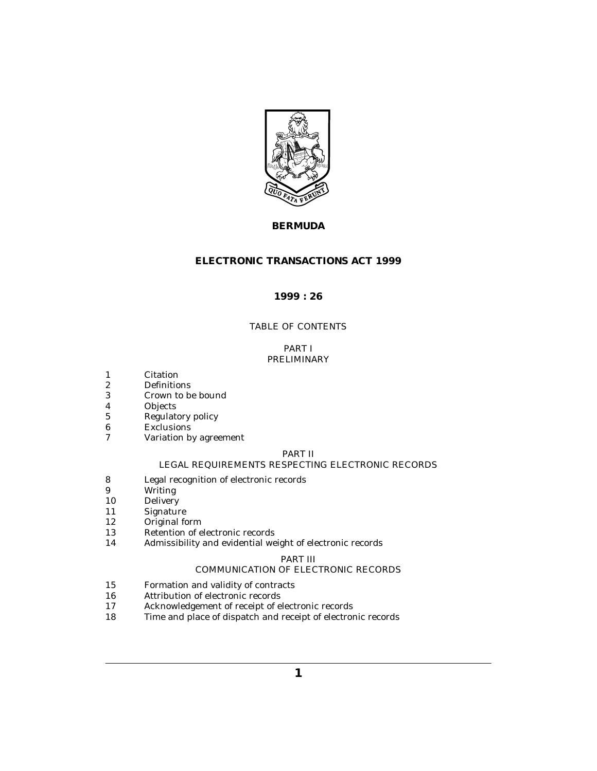

# **BERMUDA**

# **ELECTRONIC TRANSACTIONS ACT 1999**

## **1999 : 26**

# TABLE OF CONTENTS

## PART I [PRELIMINARY](#page-2-0)

- [Citation](#page-2-0) 1
- [Definitions](#page-2-0) 2
- [Crown to be bound](#page-4-0) 3
- [Objects](#page-4-0) 4
- [Regulatory policy](#page-4-0) 5
- [Exclusions](#page-5-0) 6
- [Variation by agreement](#page-5-0) 7

## PART II

## [LEGAL REQUIREMENTS RESPECTING ELECTRONIC RECORDS](#page-5-0)

- [Legal recognition of electronic records](#page-5-0) 8
- [Writing](#page-5-0) 9
- [Delivery](#page-5-0) 10
- [Signature](#page-6-0) 11
- [Original form](#page-6-0) 12
- [Retention of electronic records](#page-7-0) 13
- [Admissibility and evidential weight of electronic records](#page-7-0) 14

## PART III

# [COMMUNICATION OF ELECTRONIC RECORDS](#page-8-0)

- [Formation and validity of contracts](#page-8-0) 15
- [Attribution of electronic records](#page-8-0) 16
- [Acknowledgement of receipt of electronic records](#page-8-0) 17
- [Time and place of dispatch and receipt of electronic records](#page-9-0) 18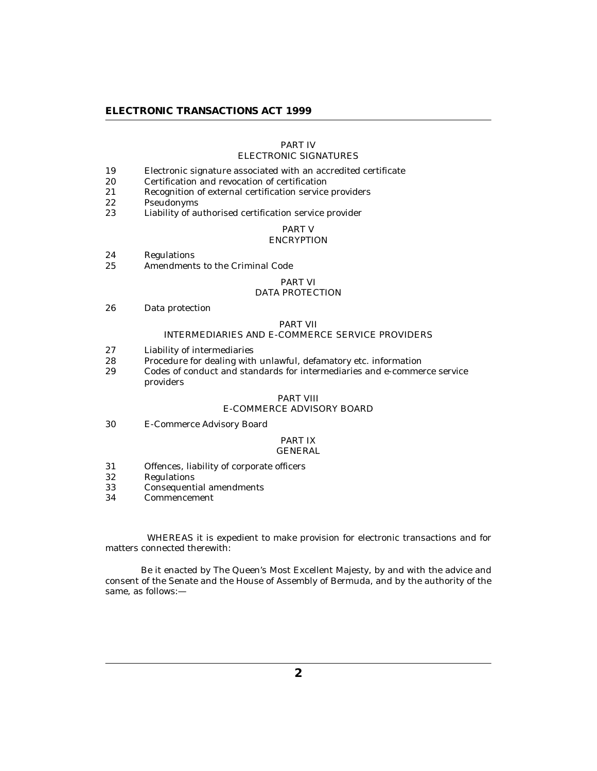# PART IV

# [ELECTRONIC SIGNATURES](#page-10-0)

- [Electronic signature associated with an accredited certificate](#page-10-0) 19
- [Certification and revocation of certification](#page-10-0) 20
- [Recognition of external certification service providers](#page-11-0) 21
- [Pseudonyms](#page-11-0) 22
- [Liability of authorised certification service provider](#page-11-0) 23

## PART V

## **[ENCRYPTION](#page-12-0)**

- [Regulations](#page-12-0) 24
- [Amendments to the Criminal Code](#page-13-0) 25

#### PART VI

## [DATA PROTECTION](#page-13-0)

[Data protection](#page-13-0) 26

## PART VII

## [INTERMEDIARIES AND E-COMMERCE SERVICE PROVIDERS](#page-14-0)

- [Liability of intermediaries](#page-14-0) 27
- [Procedure for dealing with unlawful, defamatory etc. information](#page-15-0) 28
- [Codes of conduct and standards for intermediaries and e-commerce service](#page-15-0) providers 29

#### PART VIII

## [E-COMMERCE ADVISORY BOARD](#page-17-0)

[E-Commerce Advisory Board](#page-17-0) 30

#### PART IX [GENERAL](#page-18-0)

- [Offences, liability of corporate officers](#page-18-0) 31
- [Regulations](#page-18-0) 32
- [Consequential amendments](#page-18-0) 33
- [Commencement](#page-18-0) 34

 WHEREAS it is expedient to make provision for electronic transactions and for matters connected therewith:

 Be it enacted by The Queen's Most Excellent Majesty, by and with the advice and consent of the Senate and the House of Assembly of Bermuda, and by the authority of the same, as follows:—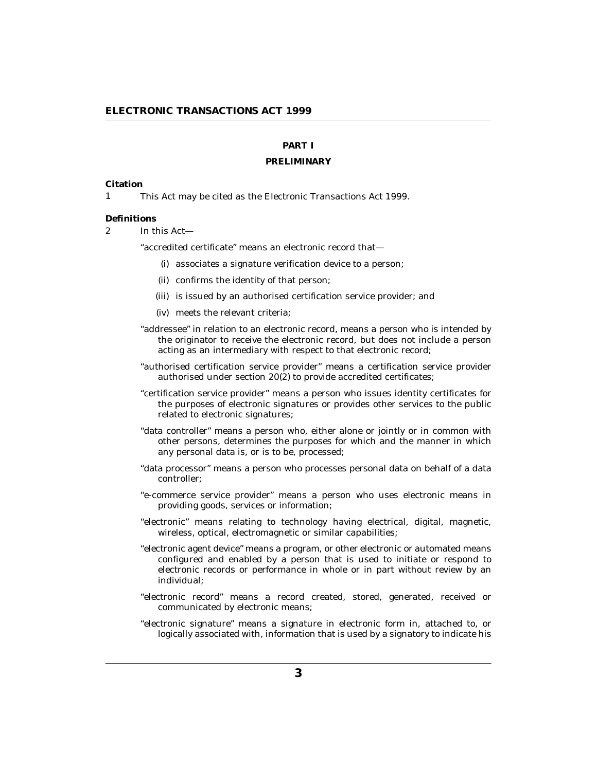# **PART I**

#### **PRELIMINARY**

#### <span id="page-2-0"></span>**Citation**

This Act may be cited as the Electronic Transactions Act 1999. 1

#### **Definitions**

In this Act—  $\mathfrak{p}$ 

"accredited certificate" means an electronic record that—

- associates a signature verification device to a person; (i)
- (ii) confirms the identity of that person;
- (iii) is issued by an authorised certification service provider; and
- (iv) meets the relevant criteria;
- "addressee" in relation to an electronic record, means a person who is intended by the originator to receive the electronic record, but does not include a person acting as an intermediary with respect to that electronic record;
- "authorised certification service provider" means a certification service provider authorised under section 20(2) to provide accredited certificates;
- "certification service provider" means a person who issues identity certificates for the purposes of electronic signatures or provides other services to the public related to electronic signatures;
- "data controller" means a person who, either alone or jointly or in common with other persons, determines the purposes for which and the manner in which any personal data is, or is to be, processed;
- "data processor" means a person who processes personal data on behalf of a data controller;
- "e-commerce service provider" means a person who uses electronic means in providing goods, services or information;
- "electronic" means relating to technology having electrical, digital, magnetic, wireless, optical, electromagnetic or similar capabilities;
- "electronic agent device" means a program, or other electronic or automated means configured and enabled by a person that is used to initiate or respond to electronic records or performance in whole or in part without review by an individual;
- "electronic record" means a record created, stored, generated, received or communicated by electronic means;
- "electronic signature" means a signature in electronic form in, attached to, or logically associated with, information that is used by a signatory to indicate his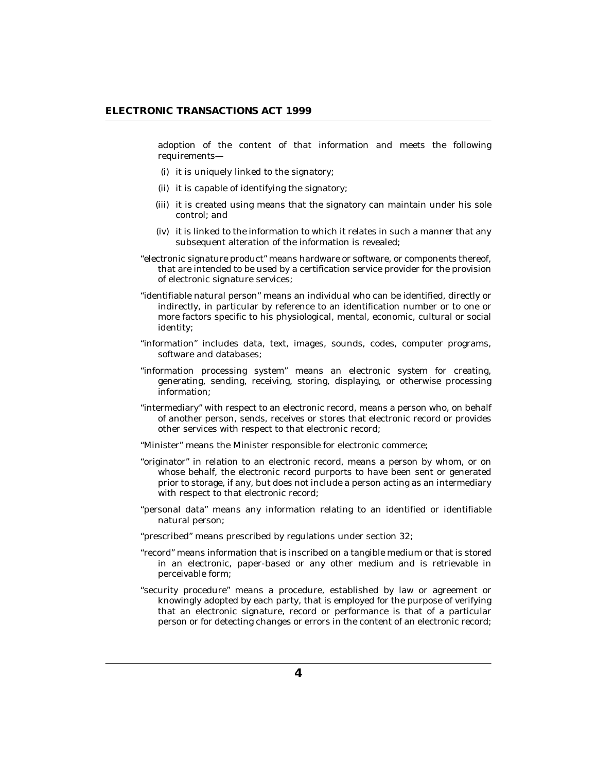adoption of the content of that information and meets the following requirements—

- (i) it is uniquely linked to the signatory;
- (ii) it is capable of identifying the signatory;
- (iii) it is created using means that the signatory can maintain under his sole control; and
- $(iv)$  it is linked to the information to which it relates in such a manner that any subsequent alteration of the information is revealed;
- "electronic signature product" means hardware or software, or components thereof, that are intended to be used by a certification service provider for the provision of electronic signature services;
- "identifiable natural person" means an individual who can be identified, directly or indirectly, in particular by reference to an identification number or to one or more factors specific to his physiological, mental, economic, cultural or social identity;
- "information" includes data, text, images, sounds, codes, computer programs, software and databases;
- "information processing system" means an electronic system for creating, generating, sending, receiving, storing, displaying, or otherwise processing information;
- "intermediary" with respect to an electronic record, means a person who, on behalf of another person, sends, receives or stores that electronic record or provides other services with respect to that electronic record;
- "Minister" means the Minister responsible for electronic commerce;
- "originator" in relation to an electronic record, means a person by whom, or on whose behalf, the electronic record purports to have been sent or generated prior to storage, if any, but does not include a person acting as an intermediary with respect to that electronic record;
- "personal data" means any information relating to an identified or identifiable natural person;
- "prescribed" means prescribed by regulations under section 32;
- "record" means information that is inscribed on a tangible medium or that is stored in an electronic, paper-based or any other medium and is retrievable in perceivable form;
- "security procedure" means a procedure, established by law or agreement or knowingly adopted by each party, that is employed for the purpose of verifying that an electronic signature, record or performance is that of a particular person or for detecting changes or errors in the content of an electronic record;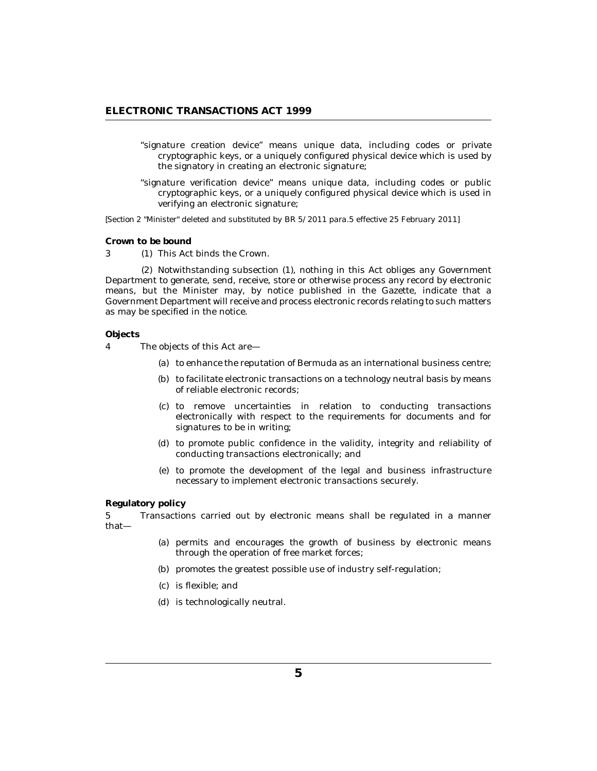- <span id="page-4-0"></span>"signature creation device" means unique data, including codes or private cryptographic keys, or a uniquely configured physical device which is used by the signatory in creating an electronic signature;
- "signature verification device" means unique data, including codes or public cryptographic keys, or a uniquely configured physical device which is used in verifying an electronic signature;

*[Section 2 "Minister" deleted and substituted by BR 5/2011 para.5 effective 25 February 2011]*

**Crown to be bound**

3 (1) This Act binds the Crown.

(2) Notwithstanding subsection (1), nothing in this Act obliges any Government Department to generate, send, receive, store or otherwise process any record by electronic means, but the Minister may, by notice published in the Gazette, indicate that a Government Department will receive and process electronic records relating to such matters as may be specified in the notice.

**Objects**

- The objects of this Act are— 4
	- (a) to enhance the reputation of Bermuda as an international business centre;
	- (b) to facilitate electronic transactions on a technology neutral basis by means of reliable electronic records;
	- (c) to remove uncertainties in relation to conducting transactions electronically with respect to the requirements for documents and for signatures to be in writing;
	- (d) to promote public confidence in the validity, integrity and reliability of conducting transactions electronically; and
	- (e) to promote the development of the legal and business infrastructure necessary to implement electronic transactions securely.

**Regulatory policy**

Transactions carried out by electronic means shall be regulated in a manner that— 5

- (a) permits and encourages the growth of business by electronic means through the operation of free market forces;
- (b) promotes the greatest possible use of industry self-regulation;
- is flexible; and (c)
- (d) is technologically neutral.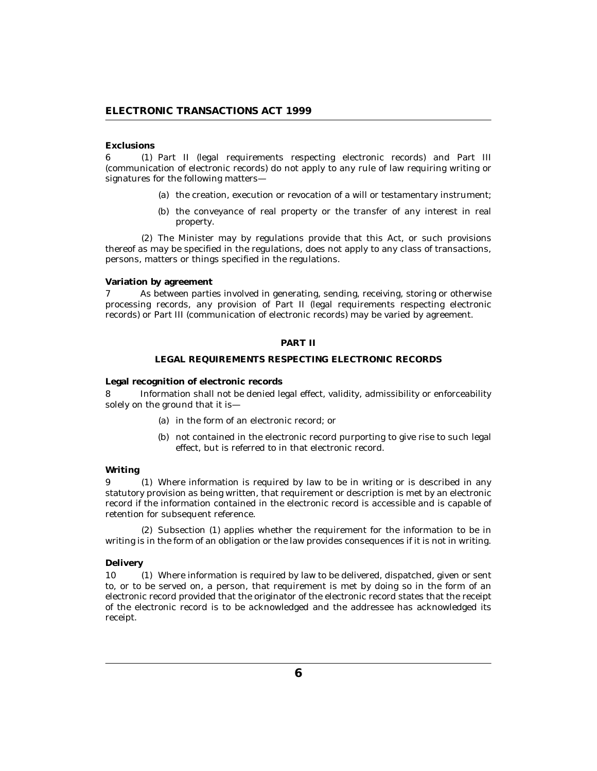### <span id="page-5-0"></span>**Exclusions**

6 (1) Part II (legal requirements respecting electronic records) and Part III (communication of electronic records) do not apply to any rule of law requiring writing or signatures for the following matters—

- (a) the creation, execution or revocation of a will or testamentary instrument;
- (b) the conveyance of real property or the transfer of any interest in real property.

(2) The Minister may by regulations provide that this Act, or such provisions thereof as may be specified in the regulations, does not apply to any class of transactions, persons, matters or things specified in the regulations.

#### **Variation by agreement**

As between parties involved in generating, sending, receiving, storing or otherwise processing records, any provision of Part II (legal requirements respecting electronic records) or Part III (communication of electronic records) may be varied by agreement. 7

## **PART II**

## **LEGAL REQUIREMENTS RESPECTING ELECTRONIC RECORDS**

**Legal recognition of electronic records**

Information shall not be denied legal effect, validity, admissibility or enforceability solely on the ground that it is— 8

- (a) in the form of an electronic record; or
- (b) not contained in the electronic record purporting to give rise to such legal effect, but is referred to in that electronic record.

### **Writing**

Where information is required by law to be in writing or is described in any 9 (1) statutory provision as being written, that requirement or description is met by an electronic record if the information contained in the electronic record is accessible and is capable of retention for subsequent reference.

(2) Subsection (1) applies whether the requirement for the information to be in writing is in the form of an obligation or the law provides consequences if it is not in writing.

### **Delivery**

Where information is required by law to be delivered, dispatched, given or sent to, or to be served on, a person, that requirement is met by doing so in the form of an electronic record provided that the originator of the electronic record states that the receipt of the electronic record is to be acknowledged and the addressee has acknowledged its receipt. 10 (1)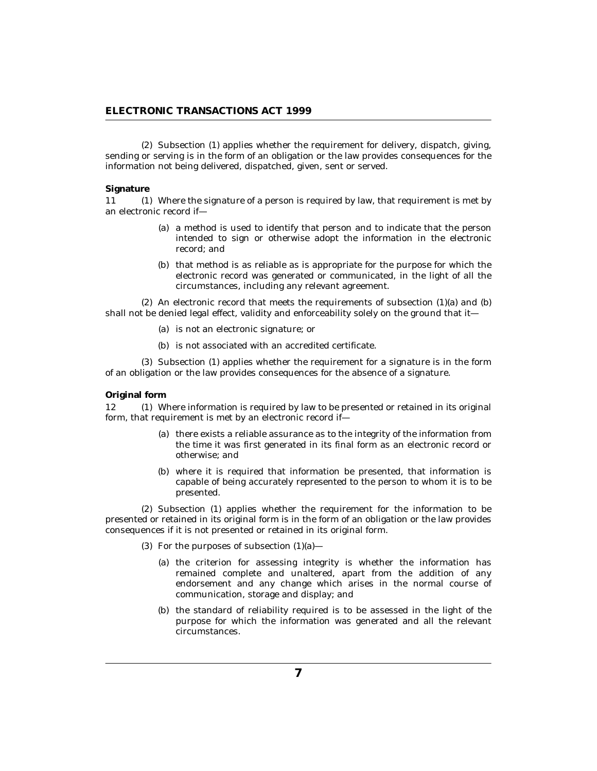<span id="page-6-0"></span>(2) Subsection (1) applies whether the requirement for delivery, dispatch, giving, sending or serving is in the form of an obligation or the law provides consequences for the information not being delivered, dispatched, given, sent or served.

#### **Signature**

Where the signature of a person is required by law, that requirement is met by an electronic record if—  $11$ 

- (a) a method is used to identify that person and to indicate that the person intended to sign or otherwise adopt the information in the electronic record; and
- (b) that method is as reliable as is appropriate for the purpose for which the electronic record was generated or communicated, in the light of all the circumstances, including any relevant agreement.

 $(2)$  An electronic record that meets the requirements of subsection  $(1)(a)$  and  $(b)$ shall not be denied legal effect, validity and enforceability solely on the ground that it—

- (a) is not an electronic signature; or
- (b) is not associated with an accredited certificate.

 $(3)$  Subsection  $(1)$  applies whether the requirement for a signature is in the form of an obligation or the law provides consequences for the absence of a signature.

#### **Original form**

12 (1) Where information is required by law to be presented or retained in its original form, that requirement is met by an electronic record if—

- (a) there exists a reliable assurance as to the integrity of the information from the time it was first generated in its final form as an electronic record or otherwise; and
- (b) where it is required that information be presented, that information is capable of being accurately represented to the person to whom it is to be presented.

(2) Subsection (1) applies whether the requirement for the information to be presented or retained in its original form is in the form of an obligation or the law provides consequences if it is not presented or retained in its original form.

- (3) For the purposes of subsection  $(1)(a)$ 
	- (a) the criterion for assessing integrity is whether the information has remained complete and unaltered, apart from the addition of any endorsement and any change which arises in the normal course of communication, storage and display; and
	- (b) the standard of reliability required is to be assessed in the light of the purpose for which the information was generated and all the relevant circumstances.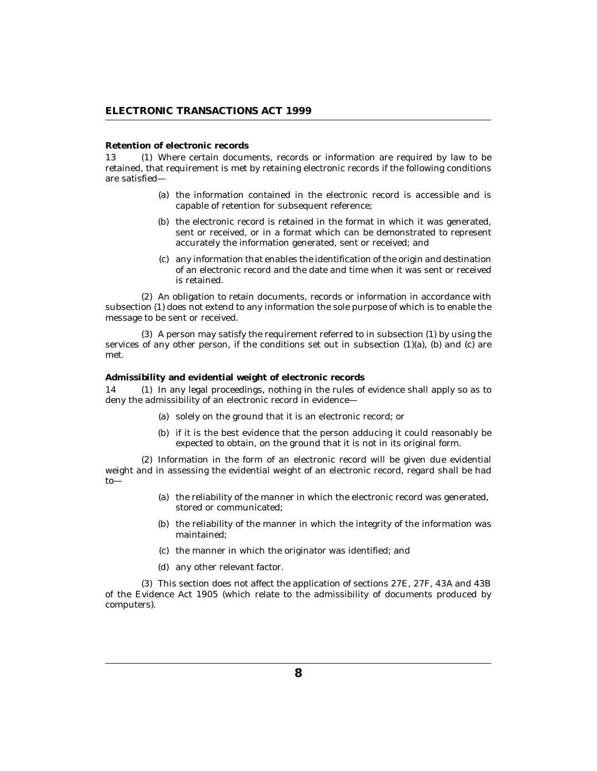#### <span id="page-7-0"></span>**Retention of electronic records**

13 (1) Where certain documents, records or information are required by law to be retained, that requirement is met by retaining electronic records if the following conditions are satisfied—

- (a) the information contained in the electronic record is accessible and is capable of retention for subsequent reference;
- (b) the electronic record is retained in the format in which it was generated, sent or received, or in a format which can be demonstrated to represent accurately the information generated, sent or received; and
- any information that enables the identification of the origin and destination (c) of an electronic record and the date and time when it was sent or received is retained.

(2) An obligation to retain documents, records or information in accordance with subsection (1) does not extend to any information the sole purpose of which is to enable the message to be sent or received.

 $(3)$  A person may satisfy the requirement referred to in subsection  $(1)$  by using the services of any other person, if the conditions set out in subsection  $(1)(a)$ ,  $(b)$  and  $(c)$  are met.

**Admissibility and evidential weight of electronic records**

14 (1) In any legal proceedings, nothing in the rules of evidence shall apply so as to deny the admissibility of an electronic record in evidence—

- solely on the ground that it is an electronic record; or (a)
- (b) if it is the best evidence that the person adducing it could reasonably be expected to obtain, on the ground that it is not in its original form.

(2) Information in the form of an electronic record will be given due evidential weight and in assessing the evidential weight of an electronic record, regard shall be had to—

- (a) the reliability of the manner in which the electronic record was generated, stored or communicated;
- (b) the reliability of the manner in which the integrity of the information was maintained;
- (c) the manner in which the originator was identified; and
- (d) any other relevant factor.

This section does not affect the application of sections 27E, 27F, 43A and 43B (3) of the Evidence Act 1905 (which relate to the admissibility of documents produced by computers).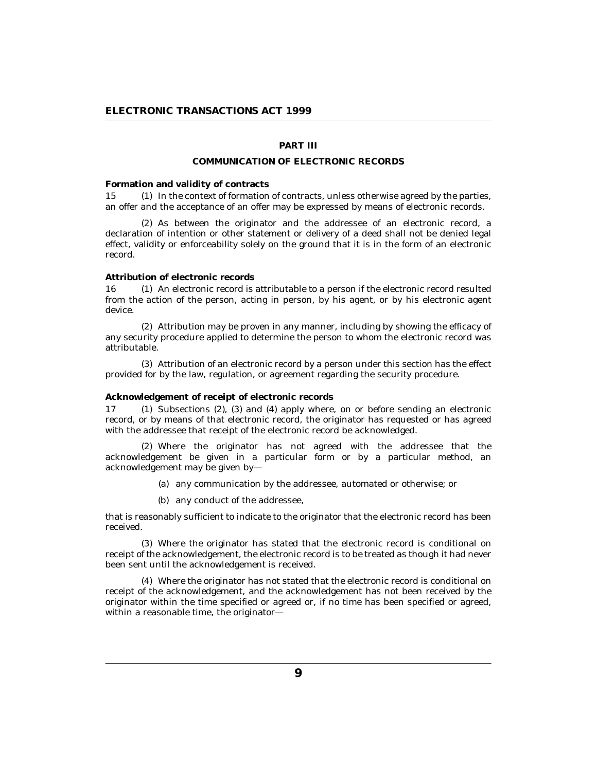# **PART III**

#### **COMMUNICATION OF ELECTRONIC RECORDS**

#### <span id="page-8-0"></span>**Formation and validity of contracts**

15 (1) In the context of formation of contracts, unless otherwise agreed by the parties, an offer and the acceptance of an offer may be expressed by means of electronic records.

(2) As between the originator and the addressee of an electronic record, a declaration of intention or other statement or delivery of a deed shall not be denied legal effect, validity or enforceability solely on the ground that it is in the form of an electronic record.

#### **Attribution of electronic records**

16 (1) An electronic record is attributable to a person if the electronic record resulted from the action of the person, acting in person, by his agent, or by his electronic agent device.

Attribution may be proven in any manner, including by showing the efficacy of (2) any security procedure applied to determine the person to whom the electronic record was attributable.

Attribution of an electronic record by a person under this section has the effect (3) provided for by the law, regulation, or agreement regarding the security procedure.

#### **Acknowledgement of receipt of electronic records**

17 (1) Subsections (2), (3) and (4) apply where, on or before sending an electronic record, or by means of that electronic record, the originator has requested or has agreed with the addressee that receipt of the electronic record be acknowledged.

Where the originator has not agreed with the addressee that the (2) acknowledgement be given in a particular form or by a particular method, an acknowledgement may be given by—

- (a) any communication by the addressee, automated or otherwise; or
- (b) any conduct of the addressee,

that is reasonably sufficient to indicate to the originator that the electronic record has been received.

Where the originator has stated that the electronic record is conditional on (3) receipt of the acknowledgement, the electronic record is to be treated as though it had never been sent until the acknowledgement is received.

Where the originator has not stated that the electronic record is conditional on (4) receipt of the acknowledgement, and the acknowledgement has not been received by the originator within the time specified or agreed or, if no time has been specified or agreed, within a reasonable time, the originator—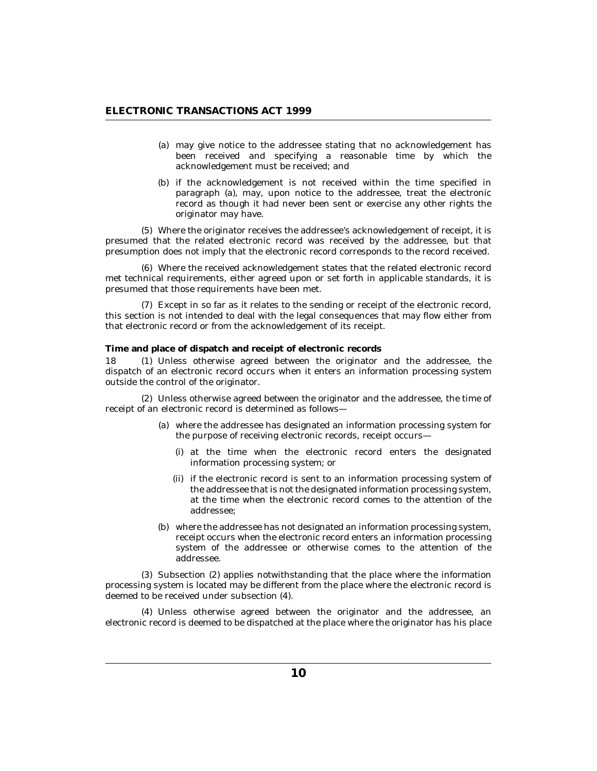- <span id="page-9-0"></span>may give notice to the addressee stating that no acknowledgement has (a) been received and specifying a reasonable time by which the acknowledgement must be received; and
- (b) if the acknowledgement is not received within the time specified in paragraph (a), may, upon notice to the addressee, treat the electronic record as though it had never been sent or exercise any other rights the originator may have.

Where the originator receives the addressee's acknowledgement of receipt, it is (5) presumed that the related electronic record was received by the addressee, but that presumption does not imply that the electronic record corresponds to the record received.

Where the received acknowledgement states that the related electronic record (6) met technical requirements, either agreed upon or set forth in applicable standards, it is presumed that those requirements have been met.

Except in so far as it relates to the sending or receipt of the electronic record, (7) this section is not intended to deal with the legal consequences that may flow either from that electronic record or from the acknowledgement of its receipt.

**Time and place of dispatch and receipt of electronic records**

18 (1) Unless otherwise agreed between the originator and the addressee, the dispatch of an electronic record occurs when it enters an information processing system outside the control of the originator.

Unless otherwise agreed between the originator and the addressee, the time of (2) receipt of an electronic record is determined as follows—

- where the addressee has designated an information processing system for (a) the purpose of receiving electronic records, receipt occurs
	- at the time when the electronic record enters the designated (i) information processing system; or
	- (ii) if the electronic record is sent to an information processing system of the addressee that is not the designated information processing system, at the time when the electronic record comes to the attention of the addressee;
- (b) where the addressee has not designated an information processing system, receipt occurs when the electronic record enters an information processing system of the addressee or otherwise comes to the attention of the addressee.

(3) Subsection (2) applies notwithstanding that the place where the information processing system is located may be different from the place where the electronic record is deemed to be received under subsection (4).

Unless otherwise agreed between the originator and the addressee, an (4) electronic record is deemed to be dispatched at the place where the originator has his place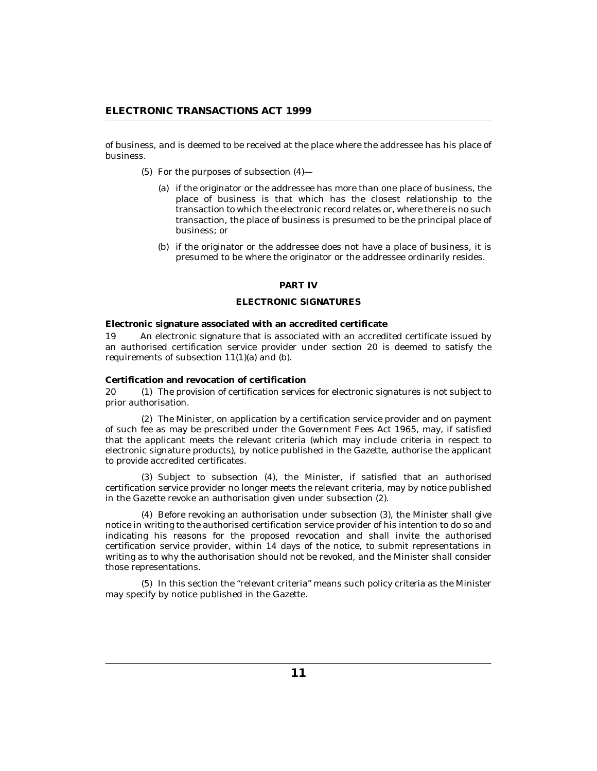<span id="page-10-0"></span>of business, and is deemed to be received at the place where the addressee has his place of business.

- $(5)$  For the purposes of subsection  $(4)$ 
	- (a) if the originator or the addressee has more than one place of business, the place of business is that which has the closest relationship to the transaction to which the electronic record relates or, where there is no such transaction, the place of business is presumed to be the principal place of business; or
	- (b) if the originator or the addressee does not have a place of business, it is presumed to be where the originator or the addressee ordinarily resides.

### **PART IV**

## **ELECTRONIC SIGNATURES**

**Electronic signature associated with an accredited certificate**

An electronic signature that is associated with an accredited certificate issued by an authorised certification service provider under section 20 is deemed to satisfy the requirements of subsection 11(1)(a) and (b). 19

**Certification and revocation of certification**

The provision of certification services for electronic signatures is not subject to prior authorisation. 20

The Minister, on application by a certification service provider and on payment (2) of such fee as may be prescribed under the Government Fees Act 1965, may, if satisfied that the applicant meets the relevant criteria (which may include criteria in respect to electronic signature products), by notice published in the Gazette, authorise the applicant to provide accredited certificates.

(3) Subject to subsection (4), the Minister, if satisfied that an authorised certification service provider no longer meets the relevant criteria, may by notice published in the Gazette revoke an authorisation given under subsection (2).

(4) Before revoking an authorisation under subsection (3), the Minister shall give notice in writing to the authorised certification service provider of his intention to do so and indicating his reasons for the proposed revocation and shall invite the authorised certification service provider, within 14 days of the notice, to submit representations in writing as to why the authorisation should not be revoked, and the Minister shall consider those representations.

(5) In this section the "relevant criteria" means such policy criteria as the Minister may specify by notice published in the Gazette.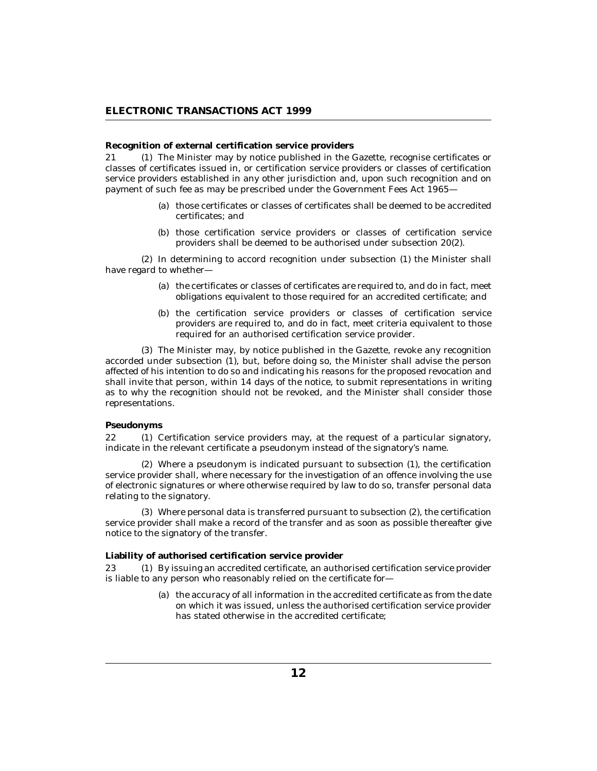### <span id="page-11-0"></span>**Recognition of external certification service providers**

21 (1) The Minister may by notice published in the Gazette, recognise certificates or classes of certificates issued in, or certification service providers or classes of certification service providers established in any other jurisdiction and, upon such recognition and on payment of such fee as may be prescribed under the Government Fees Act 1965—

- (a) those certificates or classes of certificates shall be deemed to be accredited certificates; and
- (b) those certification service providers or classes of certification service providers shall be deemed to be authorised under subsection 20(2).

 $(2)$  In determining to accord recognition under subsection  $(1)$  the Minister shall have regard to whether—

- (a) the certificates or classes of certificates are required to, and do in fact, meet obligations equivalent to those required for an accredited certificate; and
- (b) the certification service providers or classes of certification service providers are required to, and do in fact, meet criteria equivalent to those required for an authorised certification service provider.

The Minister may, by notice published in the Gazette, revoke any recognition (3) accorded under subsection (1), but, before doing so, the Minister shall advise the person affected of his intention to do so and indicating his reasons for the proposed revocation and shall invite that person, within 14 days of the notice, to submit representations in writing as to why the recognition should not be revoked, and the Minister shall consider those representations.

#### **Pseudonyms**

22 (1) Certification service providers may, at the request of a particular signatory, indicate in the relevant certificate a pseudonym instead of the signatory's name.

Where a pseudonym is indicated pursuant to subsection (1), the certification (2) service provider shall, where necessary for the investigation of an offence involving the use of electronic signatures or where otherwise required by law to do so, transfer personal data relating to the signatory.

Where personal data is transferred pursuant to subsection (2), the certification (3) service provider shall make a record of the transfer and as soon as possible thereafter give notice to the signatory of the transfer.

**Liability of authorised certification service provider**

By issuing an accredited certificate, an authorised certification service provider is liable to any person who reasonably relied on the certificate for— 23

> (a) the accuracy of all information in the accredited certificate as from the date on which it was issued, unless the authorised certification service provider has stated otherwise in the accredited certificate;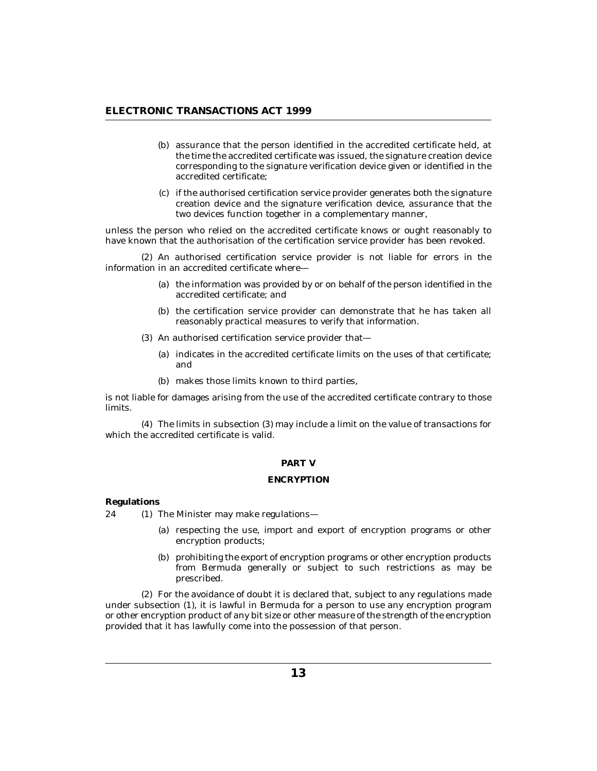- <span id="page-12-0"></span>(b) assurance that the person identified in the accredited certificate held, at the time the accredited certificate was issued, the signature creation device corresponding to the signature verification device given or identified in the accredited certificate;
- if the authorised certification service provider generates both the signature (c) creation device and the signature verification device, assurance that the two devices function together in a complementary manner,

unless the person who relied on the accredited certificate knows or ought reasonably to have known that the authorisation of the certification service provider has been revoked.

(2) An authorised certification service provider is not liable for errors in the information in an accredited certificate where—

- (a) the information was provided by or on behalf of the person identified in the accredited certificate; and
- (b) the certification service provider can demonstrate that he has taken all reasonably practical measures to verify that information.
- (3) An authorised certification service provider that-
	- (a) indicates in the accredited certificate limits on the uses of that certificate; and
	- (b) makes those limits known to third parties,

is not liable for damages arising from the use of the accredited certificate contrary to those limits.

The limits in subsection (3) may include a limit on the value of transactions for (4) which the accredited certificate is valid.

### **PART V**

## **ENCRYPTION**

**Regulations**

 $(1)$  The Minister may make regulations—  $24$ 

- (a) respecting the use, import and export of encryption programs or other encryption products;
- (b) prohibiting the export of encryption programs or other encryption products from Bermuda generally or subject to such restrictions as may be prescribed.

For the avoidance of doubt it is declared that, subject to any regulations made (2) under subsection (1), it is lawful in Bermuda for a person to use any encryption program or other encryption product of any bit size or other measure of the strength of the encryption provided that it has lawfully come into the possession of that person.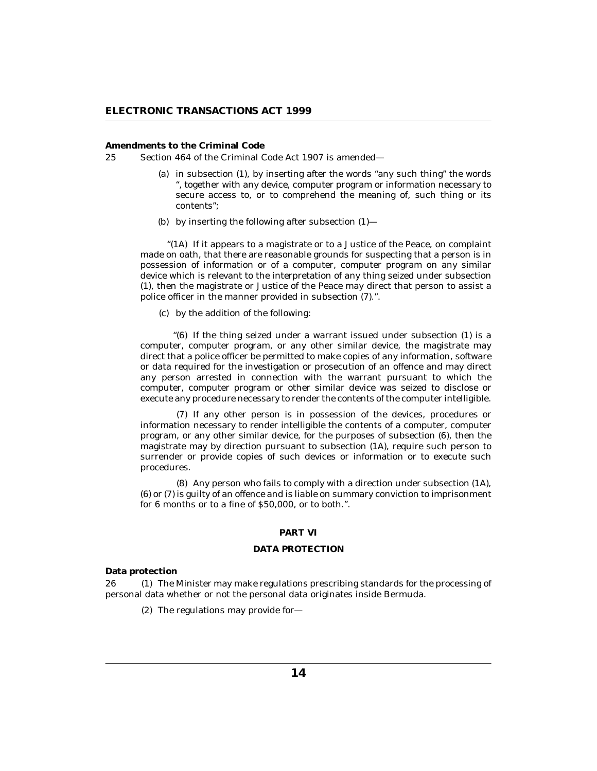<span id="page-13-0"></span>**Amendments to the Criminal Code**

Section 464 of the Criminal Code Act 1907 is amended— 25

- (a) in subsection (1), by inserting after the words "any such thing" the words ", together with any device, computer program or information necessary to secure access to, or to comprehend the meaning of, such thing or its contents";
- by inserting the following after subsection (1)— (b)

" $(1A)$  If it appears to a magistrate or to a Justice of the Peace, on complaint made on oath, that there are reasonable grounds for suspecting that a person is in possession of information or of a computer, computer program on any similar device which is relevant to the interpretation of any thing seized under subsection (1), then the magistrate or Justice of the Peace may direct that person to assist a police officer in the manner provided in subsection (7).".

by the addition of the following: (c)

" $(6)$  If the thing seized under a warrant issued under subsection  $(1)$  is a computer, computer program, or any other similar device, the magistrate may direct that a police officer be permitted to make copies of any information, software or data required for the investigation or prosecution of an offence and may direct any person arrested in connection with the warrant pursuant to which the computer, computer program or other similar device was seized to disclose or execute any procedure necessary to render the contents of the computer intelligible.

(7) If any other person is in possession of the devices, procedures or information necessary to render intelligible the contents of a computer, computer program, or any other similar device, for the purposes of subsection (6), then the magistrate may by direction pursuant to subsection (1A), require such person to surrender or provide copies of such devices or information or to execute such procedures.

(8) Any person who fails to comply with a direction under subsection (1A), (6) or (7) is guilty of an offence and is liable on summary conviction to imprisonment for 6 months or to a fine of \$50,000, or to both.".

## **PART VI**

## **DATA PROTECTION**

**Data protection**

26 (1) The Minister may make regulations prescribing standards for the processing of personal data whether or not the personal data originates inside Bermuda.

 $(2)$  The regulations may provide for-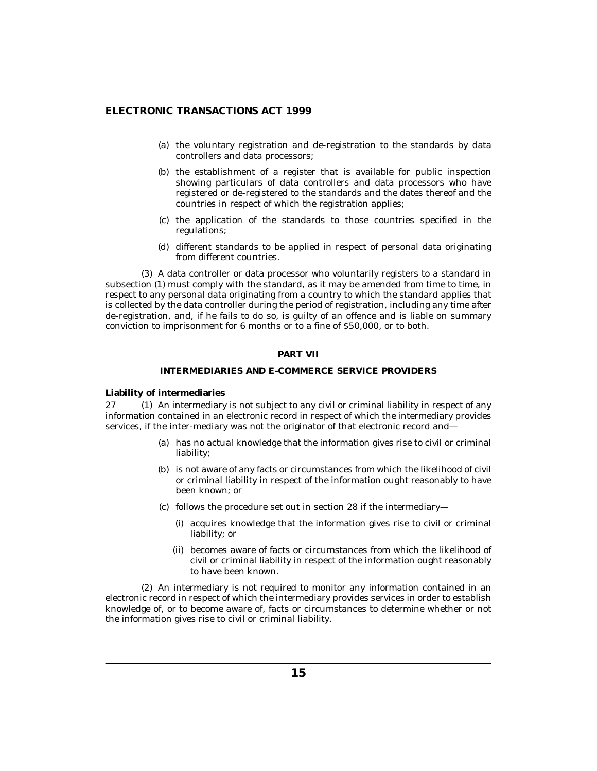- <span id="page-14-0"></span>(a) the voluntary registration and de-registration to the standards by data controllers and data processors;
- (b) the establishment of a register that is available for public inspection showing particulars of data controllers and data processors who have registered or de-registered to the standards and the dates thereof and the countries in respect of which the registration applies;
- (c) the application of the standards to those countries specified in the regulations;
- (d) different standards to be applied in respect of personal data originating from different countries.

A data controller or data processor who voluntarily registers to a standard in (3) subsection (1) must comply with the standard, as it may be amended from time to time, in respect to any personal data originating from a country to which the standard applies that is collected by the data controller during the period of registration, including any time after de-registration, and, if he fails to do so, is guilty of an offence and is liable on summary conviction to imprisonment for 6 months or to a fine of \$50,000, or to both.

## **PART VII**

## **INTERMEDIARIES AND E-COMMERCE SERVICE PROVIDERS**

#### **Liability of intermediaries**

27 (1) An intermediary is not subject to any civil or criminal liability in respect of any information contained in an electronic record in respect of which the intermediary provides services, if the inter-mediary was not the originator of that electronic record and—

- has no actual knowledge that the information gives rise to civil or criminal (a) liability;
- (b) is not aware of any facts or circumstances from which the likelihood of civil or criminal liability in respect of the information ought reasonably to have been known; or
- (c) follows the procedure set out in section 28 if the intermediary—
	- (i) acquires knowledge that the information gives rise to civil or criminal liability; or
	- becomes aware of facts or circumstances from which the likelihood of (ii) civil or criminal liability in respect of the information ought reasonably to have been known.

(2) An intermediary is not required to monitor any information contained in an electronic record in respect of which the intermediary provides services in order to establish knowledge of, or to become aware of, facts or circumstances to determine whether or not the information gives rise to civil or criminal liability.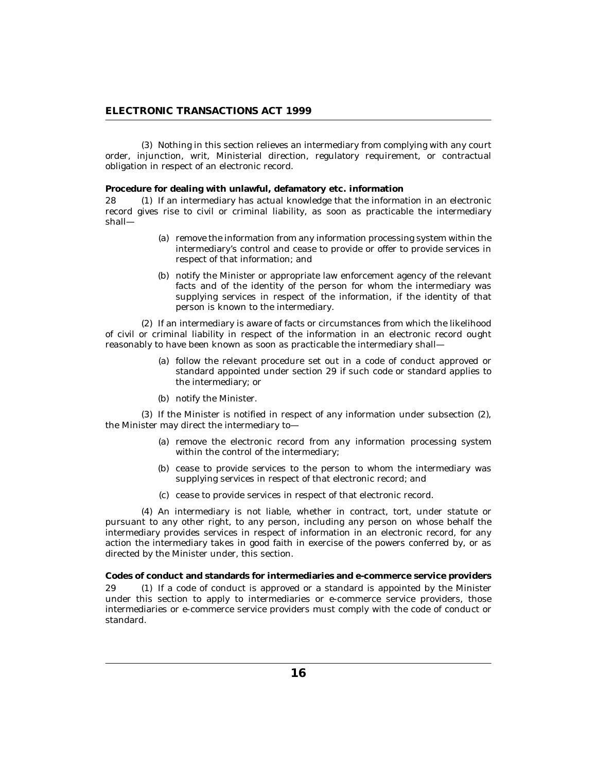<span id="page-15-0"></span>(3) Nothing in this section relieves an intermediary from complying with any court order, injunction, writ, Ministerial direction, regulatory requirement, or contractual obligation in respect of an electronic record.

**Procedure for dealing with unlawful, defamatory etc. information**

If an intermediary has actual knowledge that the information in an electronic record gives rise to civil or criminal liability, as soon as practicable the intermediary shall— 28

- (a) remove the information from any information processing system within the intermediary's control and cease to provide or offer to provide services in respect of that information; and
- (b) notify the Minister or appropriate law enforcement agency of the relevant facts and of the identity of the person for whom the intermediary was supplying services in respect of the information, if the identity of that person is known to the intermediary.

(2) If an intermediary is aware of facts or circumstances from which the likelihood of civil or criminal liability in respect of the information in an electronic record ought reasonably to have been known as soon as practicable the intermediary shall—

- follow the relevant procedure set out in a code of conduct approved or (a) standard appointed under section 29 if such code or standard applies to the intermediary; or
- (b) notify the Minister.

 $(3)$  If the Minister is notified in respect of any information under subsection  $(2)$ , the Minister may direct the intermediary to—

- (a) remove the electronic record from any information processing system within the control of the intermediary;
- (b) cease to provide services to the person to whom the intermediary was supplying services in respect of that electronic record; and
- (c) cease to provide services in respect of that electronic record.

An intermediary is not liable, whether in contract, tort, under statute or (4) pursuant to any other right, to any person, including any person on whose behalf the intermediary provides services in respect of information in an electronic record, for any action the intermediary takes in good faith in exercise of the powers conferred by, or as directed by the Minister under, this section.

**Codes of conduct and standards for intermediaries and e-commerce service providers** 29 (1) If a code of conduct is approved or a standard is appointed by the Minister under this section to apply to intermediaries or e-commerce service providers, those intermediaries or e-commerce service providers must comply with the code of conduct or standard.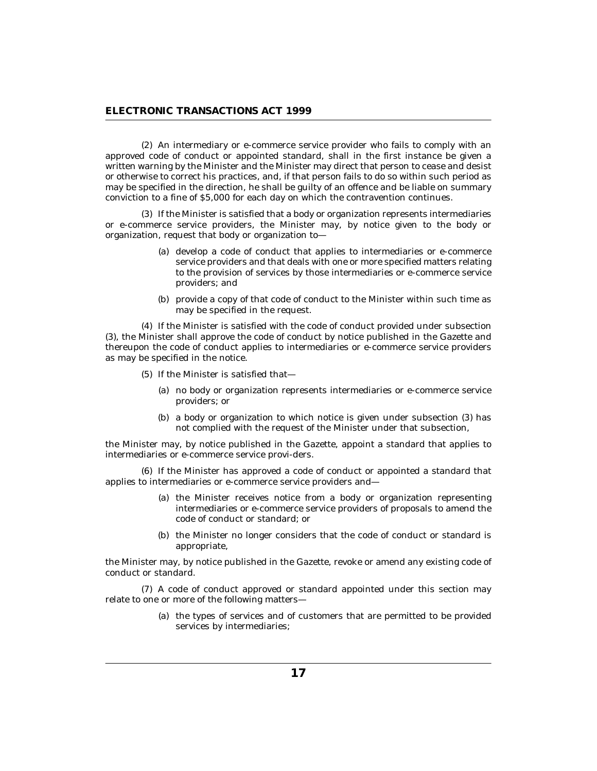An intermediary or e-commerce service provider who fails to comply with an (2) approved code of conduct or appointed standard, shall in the first instance be given a written warning by the Minister and the Minister may direct that person to cease and desist or otherwise to correct his practices, and, if that person fails to do so within such period as may be specified in the direction, he shall be guilty of an offence and be liable on summary conviction to a fine of \$5,000 for each day on which the contravention continues.

(3) If the Minister is satisfied that a body or organization represents intermediaries or e-commerce service providers, the Minister may, by notice given to the body or organization, request that body or organization to—

- (a) develop a code of conduct that applies to intermediaries or e-commerce service providers and that deals with one or more specified matters relating to the provision of services by those intermediaries or e-commerce service providers; and
- (b) provide a copy of that code of conduct to the Minister within such time as may be specified in the request.

If the Minister is satisfied with the code of conduct provided under subsection (4) (3), the Minister shall approve the code of conduct by notice published in the Gazette and thereupon the code of conduct applies to intermediaries or e-commerce service providers as may be specified in the notice.

- (5) If the Minister is satisfied that-
	- (a) no body or organization represents intermediaries or e-commerce service providers; or
	- (b) a body or organization to which notice is given under subsection (3) has not complied with the request of the Minister under that subsection,

the Minister may, by notice published in the Gazette, appoint a standard that applies to intermediaries or e-commerce service provi-ders.

(6) If the Minister has approved a code of conduct or appointed a standard that applies to intermediaries or e-commerce service providers and—

- (a) the Minister receives notice from a body or organization representing intermediaries or e-commerce service providers of proposals to amend the code of conduct or standard; or
- (b) the Minister no longer considers that the code of conduct or standard is appropriate,

the Minister may, by notice published in the Gazette, revoke or amend any existing code of conduct or standard.

A code of conduct approved or standard appointed under this section may (7) relate to one or more of the following matters—

> (a) the types of services and of customers that are permitted to be provided services by intermediaries;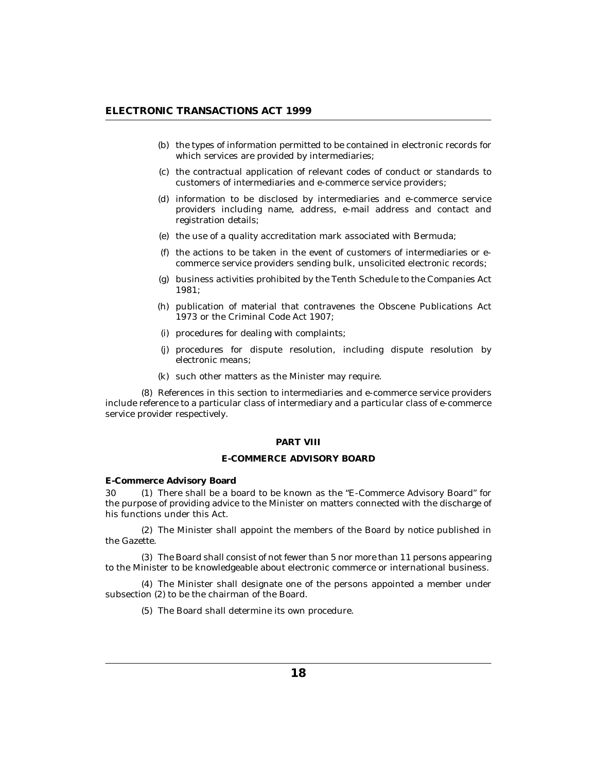- <span id="page-17-0"></span>(b) the types of information permitted to be contained in electronic records for which services are provided by intermediaries;
- (c) the contractual application of relevant codes of conduct or standards to customers of intermediaries and e-commerce service providers;
- information to be disclosed by intermediaries and e-commerce service (d) providers including name, address, e-mail address and contact and registration details;
- (e) the use of a quality accreditation mark associated with Bermuda;
- $(f)$  the actions to be taken in the event of customers of intermediaries or ecommerce service providers sending bulk, unsolicited electronic records;
- business activities prohibited by the Tenth Schedule to the Companies Act (g) 1981;
- (h) publication of material that contravenes the Obscene Publications Act 1973 or the Criminal Code Act 1907;
- (i) procedures for dealing with complaints;
- (j) procedures for dispute resolution, including dispute resolution by electronic means;
- (k) such other matters as the Minister may require.

References in this section to intermediaries and e-commerce service providers (8) include reference to a particular class of intermediary and a particular class of e-commerce service provider respectively.

#### **PART VIII**

## **E-COMMERCE ADVISORY BOARD**

**E-Commerce Advisory Board**

30 (1) There shall be a board to be known as the "E-Commerce Advisory Board" for the purpose of providing advice to the Minister on matters connected with the discharge of his functions under this Act.

The Minister shall appoint the members of the Board by notice published in (2) the Gazette.

The Board shall consist of not fewer than 5 nor more than 11 persons appearing (3) to the Minister to be knowledgeable about electronic commerce or international business.

The Minister shall designate one of the persons appointed a member under (4) subsection (2) to be the chairman of the Board.

(5) The Board shall determine its own procedure.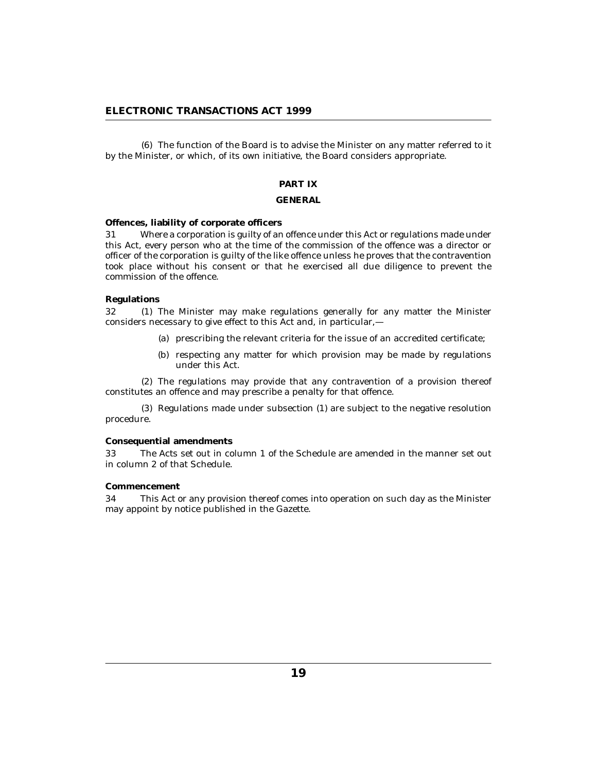<span id="page-18-0"></span>The function of the Board is to advise the Minister on any matter referred to it (6) by the Minister, or which, of its own initiative, the Board considers appropriate.

# **PART IX**

#### **GENERAL**

#### **Offences, liability of corporate officers**

Where a corporation is guilty of an offence under this Act or regulations made under this Act, every person who at the time of the commission of the offence was a director or officer of the corporation is guilty of the like offence unless he proves that the contravention took place without his consent or that he exercised all due diligence to prevent the commission of the offence. 31

## **Regulations**

The Minister may make regulations generally for any matter the Minister considers necessary to give effect to this Act and, in particular,—  $32<sub>1</sub>$ 

- (a) prescribing the relevant criteria for the issue of an accredited certificate;
- (b) respecting any matter for which provision may be made by regulations under this Act.

The regulations may provide that any contravention of a provision thereof (2) constitutes an offence and may prescribe a penalty for that offence.

(3) Regulations made under subsection (1) are subject to the negative resolution procedure.

#### **Consequential amendments**

The Acts set out in column 1 of the Schedule are amended in the manner set out in column 2 of that Schedule. 33

## **Commencement**

This Act or any provision thereof comes into operation on such day as the Minister may appoint by notice published in the Gazette. 34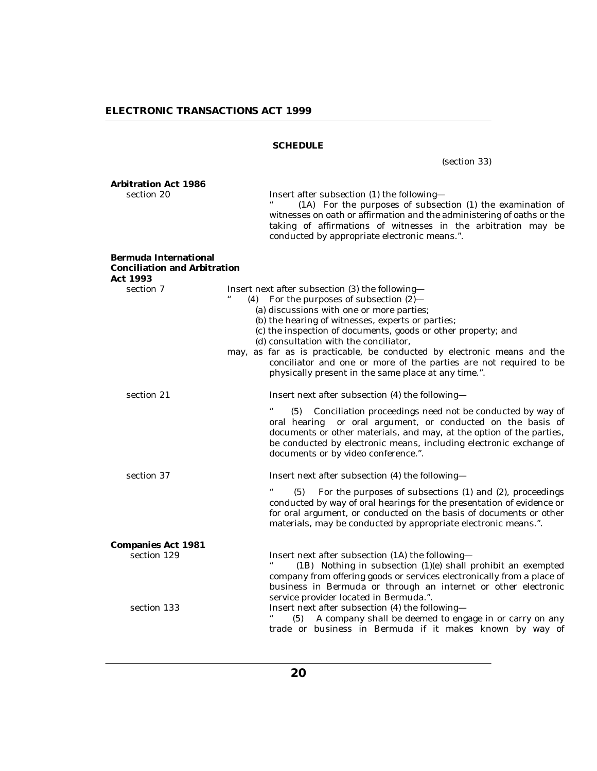## **SCHEDULE**

(section 33) **Arbitration Act 1986** section 20 Insert after subsection (1) the following— (1A) For the purposes of subsection (1) the examination of witnesses on oath or affirmation and the administering of oaths or the taking of affirmations of witnesses in the arbitration may be conducted by appropriate electronic means.". **Bermuda International Conciliation and Arbitration Act 1993** section 7 Insert next after subsection (3) the following-(4) For the purposes of subsection  $(2)$ — (a) discussions with one or more parties; (b) the hearing of witnesses, experts or parties; (c) the inspection of documents, goods or other property; and (d) consultation with the conciliator, may, as far as is practicable, be conducted by electronic means and the conciliator and one or more of the parties are not required to be physically present in the same place at any time.". section 21 **Insert next after subsection (4) the following—** (5) Conciliation proceedings need not be conducted by way of oral hearing or oral argument, or conducted on the basis of documents or other materials, and may, at the option of the parties, be conducted by electronic means, including electronic exchange of documents or by video conference.". section 37 **Insert next after subsection (4) the following—**  $(5)$  For the purposes of subsections  $(1)$  and  $(2)$ , proceedings conducted by way of oral hearings for the presentation of evidence or for oral argument, or conducted on the basis of documents or other materials, may be conducted by appropriate electronic means.". **Companies Act 1981** section 129 **Insert next after subsection (1A) the following—** (1B) Nothing in subsection (1)(e) shall prohibit an exempted company from offering goods or services electronically from a place of business in Bermuda or through an internet or other electronic service provider located in Bermuda.". section 133 **Insert next after subsection (4) the following—** (5) A company shall be deemed to engage in or carry on any trade or business in Bermuda if it makes known by way of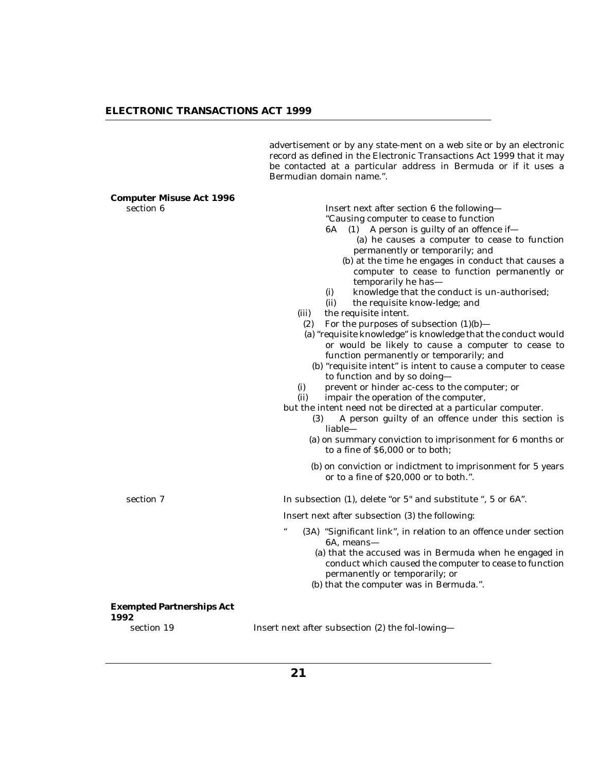advertisement or by any state-ment on a web site or by an electronic record as defined in the Electronic Transactions Act 1999 that it may be contacted at a particular address in Bermuda or if it uses a Bermudian domain name.".

| Computer Misuse Act 1996                 |                                                                                                                                                                                                                                                                                                                                                                                                                                                                                                                                                                                                                                                                                                                                                                                                                                                                                                                                                                                                                                                                                                                                                                                                                                                                                |
|------------------------------------------|--------------------------------------------------------------------------------------------------------------------------------------------------------------------------------------------------------------------------------------------------------------------------------------------------------------------------------------------------------------------------------------------------------------------------------------------------------------------------------------------------------------------------------------------------------------------------------------------------------------------------------------------------------------------------------------------------------------------------------------------------------------------------------------------------------------------------------------------------------------------------------------------------------------------------------------------------------------------------------------------------------------------------------------------------------------------------------------------------------------------------------------------------------------------------------------------------------------------------------------------------------------------------------|
| section 6                                | Insert next after section 6 the following-<br>"Causing computer to cease to function<br>$(1)$ A person is guilty of an offence if-<br>6A<br>(a) he causes a computer to cease to function<br>permanently or temporarily; and<br>(b) at the time he engages in conduct that causes a<br>computer to cease to function permanently or<br>temporarily he has-<br>knowledge that the conduct is un-authorised;<br>(i)<br>(ii)<br>the requisite know-ledge; and<br>the requisite intent.<br>(iii)<br>(2) For the purposes of subsection $(1)(b)$ —<br>(a) "requisite knowledge" is knowledge that the conduct would<br>or would be likely to cause a computer to cease to<br>function permanently or temporarily; and<br>(b) "requisite intent" is intent to cause a computer to cease<br>to function and by so doing-<br>prevent or hinder ac-cess to the computer; or<br>(i)<br>(ii)<br>impair the operation of the computer,<br>but the intent need not be directed at a particular computer.<br>A person guilty of an offence under this section is<br>(3)<br>liable-<br>(a) on summary conviction to imprisonment for 6 months or<br>to a fine of \$6,000 or to both;<br>(b) on conviction or indictment to imprisonment for 5 years<br>or to a fine of \$20,000 or to both.". |
| section 7                                | In subsection (1), delete "or 5" and substitute ", 5 or 6A".                                                                                                                                                                                                                                                                                                                                                                                                                                                                                                                                                                                                                                                                                                                                                                                                                                                                                                                                                                                                                                                                                                                                                                                                                   |
|                                          | Insert next after subsection (3) the following:                                                                                                                                                                                                                                                                                                                                                                                                                                                                                                                                                                                                                                                                                                                                                                                                                                                                                                                                                                                                                                                                                                                                                                                                                                |
|                                          | $\epsilon\epsilon$<br>(3A) "Significant link", in relation to an offence under section<br>6A, means-<br>(a) that the accused was in Bermuda when he engaged in<br>conduct which caused the computer to cease to function<br>permanently or temporarily; or<br>(b) that the computer was in Bermuda.".                                                                                                                                                                                                                                                                                                                                                                                                                                                                                                                                                                                                                                                                                                                                                                                                                                                                                                                                                                          |
| <b>Exempted Partnerships Act</b><br>1992 |                                                                                                                                                                                                                                                                                                                                                                                                                                                                                                                                                                                                                                                                                                                                                                                                                                                                                                                                                                                                                                                                                                                                                                                                                                                                                |
| section 19                               | Insert next after subsection (2) the fol-lowing-                                                                                                                                                                                                                                                                                                                                                                                                                                                                                                                                                                                                                                                                                                                                                                                                                                                                                                                                                                                                                                                                                                                                                                                                                               |